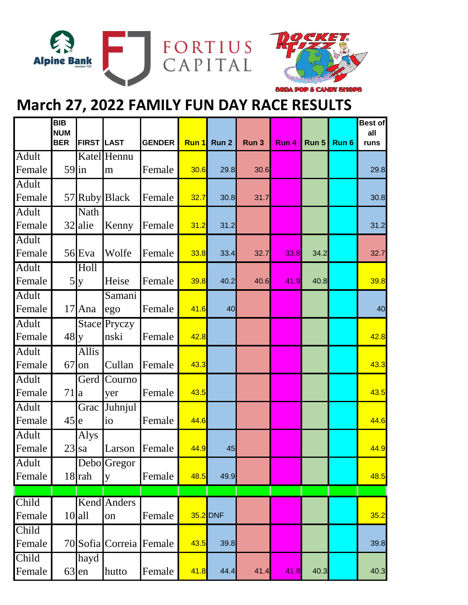



## **March 27, 2022 FAMILY FUN DAY RACE RESULTS**

|                 | $\overline{BIB}$<br><b>NUM</b><br><b>BER</b> | <b>FIRST LAST</b> |                  | <b>GENDER</b> | Run 1 | Run <sub>2</sub> | Run 3 | Run 4 | Run 5 | Run 6 | <b>Best of</b><br>all<br>runs |
|-----------------|----------------------------------------------|-------------------|------------------|---------------|-------|------------------|-------|-------|-------|-------|-------------------------------|
| <b>Adult</b>    |                                              |                   | Katel Hennu      |               |       |                  |       |       |       |       |                               |
| Female          | $59$ in                                      |                   | m                | Female        | 30.6  | 29.8             | 30.6  |       |       |       | 29.8                          |
| Adult           |                                              |                   |                  |               |       |                  |       |       |       |       |                               |
| Female          |                                              |                   | 57 Ruby Black    | Female        | 32.7  | 30.8             | 31.7  |       |       |       | 30.8                          |
| Adult           |                                              | Nath              |                  |               |       |                  |       |       |       |       |                               |
| Female          |                                              | 32 alie           | Kenny            | Female        | 31.2  | 31.2             |       |       |       |       | 31.2                          |
| Adult<br>Female |                                              | 56 Eva            | Wolfe            | Female        | 33.8  | 33.4             | 32.7  | 33.8  | 34.2  |       | 32.7                          |
| Adult           |                                              | Holl              |                  |               |       |                  |       |       |       |       |                               |
| Female          |                                              | 5y                | Heise            | Female        | 39.8  | 40.2             | 40.6  | 41.9  | 40.8  |       | 39.8                          |
| Adult           |                                              |                   | Samani           |               |       |                  |       |       |       |       |                               |
| Female          |                                              | $17$ Ana          | ego              | Female        | 41.6  | 40               |       |       |       |       | 40                            |
| Adult           |                                              |                   | Stace Pryczy     |               |       |                  |       |       |       |       |                               |
| Female          | $48$ y                                       |                   | nski             | Female        | 42.8  |                  |       |       |       |       | 42.8                          |
| Adult           |                                              | <b>Allis</b>      |                  |               |       |                  |       |       |       |       |                               |
| Female          | 67                                           | on                | Cullan           | Female        | 43.3  |                  |       |       |       |       | 43.3                          |
| Adult           |                                              | Gerd <sup>[</sup> | Courno           |               |       |                  |       |       |       |       |                               |
| Female          | $71$  a                                      |                   | yer              | Female        | 43.5  |                  |       |       |       |       | 43.5                          |
| Adult           |                                              | Grac              | Juhnjul          |               |       |                  |       |       |       |       |                               |
| Female          | $45$ <sub>le</sub>                           |                   | io               | Female        | 44.6  |                  |       |       |       |       | 44.6                          |
| Adult           |                                              | Alys              |                  |               |       |                  |       |       |       |       |                               |
| Female          | $23$ sa                                      |                   | Larson           | Female        | 44.9  | 45               |       |       |       |       | 44.9                          |
| <b>Adult</b>    |                                              |                   | Debo Gregor      |               |       |                  |       |       |       |       |                               |
| Female          |                                              | $18$ rah          | y                | Female        | 48.5  | 49.9             |       |       |       |       | 48.5                          |
|                 |                                              |                   |                  |               |       |                  |       |       |       |       |                               |
| Child<br>Female |                                              | $10$ all          | Kend Anders      | Female        |       | 35.2 DNF         |       |       |       |       | 35.2                          |
|                 |                                              |                   | on               |               |       |                  |       |       |       |       |                               |
| Child<br>Female |                                              |                   | 70 Sofia Correia | Female        | 43.5  | 39.8             |       |       |       |       | 39.8                          |
| Child           |                                              | hayd              |                  |               |       |                  |       |       |       |       |                               |
| Female          | $63$ en                                      |                   | hutto            | Female        | 41.8  | 44.4             | 41.4  | 41.8  | 40.3  |       | 40.3                          |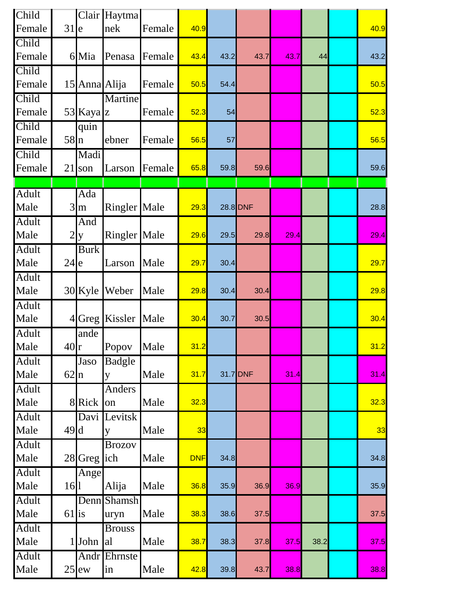| Child        |                |               | Clair Haytma        |        |            |      |          |      |      |      |
|--------------|----------------|---------------|---------------------|--------|------------|------|----------|------|------|------|
| Female       | 31             | le            | nek                 | Female | 40.9       |      |          |      |      | 40.9 |
| Child        |                |               |                     |        |            |      |          |      |      |      |
| Female       |                | 6 Mia         | Penasa              | Female | 43.4       | 43.2 | 43.7     | 43.7 | 44   | 43.2 |
| Child        |                |               |                     |        |            |      |          |      |      |      |
| Female       |                | 15 Anna Alija |                     | Female | 50.5       | 54.4 |          |      |      | 50.5 |
| Child        |                |               | Martine             |        |            |      |          |      |      |      |
| Female       |                | 53 Kaya z     |                     | Female | 52.3       | 54   |          |      |      | 52.3 |
| Child        |                | quin          |                     |        |            |      |          |      |      |      |
| Female       | 58n            |               | ebner               | Female | 56.5       | 57   |          |      |      | 56.5 |
| Child        |                | Madi          |                     |        |            |      |          |      |      |      |
| Female       | 21             | son           | Larson              | Female | 65.8       | 59.8 | 59.6     |      |      | 59.6 |
|              |                |               |                     |        |            |      |          |      |      |      |
| <b>Adult</b> |                | Ada           |                     |        |            |      |          |      |      |      |
| Male         | 3              | m             | Ringler Male        |        | 29.3       |      | 28.8 DNF |      |      | 28.8 |
| Adult        |                | And           |                     |        |            |      |          |      |      |      |
| Male         | $\overline{2}$ | y             | <b>Ringler</b> Male |        | 29.6       | 29.5 | 29.8     | 29.4 |      | 29.4 |
| <b>Adult</b> |                | <b>Burk</b>   |                     |        |            |      |          |      |      |      |
| Male         | $24$ e         |               | Larson              | Male   | 29.7       | 30.4 |          |      |      | 29.7 |
| <b>Adult</b> |                |               |                     |        |            |      |          |      |      |      |
| Male         |                | $30$ Kyle     | Weber               | Male   | 29.8       | 30.4 | 30.4     |      |      | 29.8 |
| Adult        |                |               |                     |        |            |      |          |      |      |      |
| Male         |                |               | 4 Greg Kissler      | Male   | 30.4       | 30.7 | 30.5     |      |      | 30.4 |
| <b>Adult</b> |                | ande          |                     |        |            |      |          |      |      |      |
| Male         | $40$ r         |               | Popov               | Male   | 31.2       |      |          |      |      | 31.2 |
| <b>Adult</b> |                | Jaso          | <b>Badgle</b>       |        |            |      |          |      |      |      |
| Male         | $62 \ln$       |               | y                   | Male   | 31.7       |      | 31.7 DNF | 31.4 |      | 31.4 |
| <b>Adult</b> |                |               | <b>Anders</b>       |        |            |      |          |      |      |      |
| Male         |                | 8 Rick        | on                  | Male   | 32.3       |      |          |      |      | 32.3 |
| <b>Adult</b> |                | Davi          | Levitsk             |        |            |      |          |      |      |      |
| Male         | 49d            |               | y                   | Male   | 33         |      |          |      |      | 33   |
| <b>Adult</b> |                |               | <b>Brozov</b>       |        |            |      |          |      |      |      |
| Male         |                | 28 Greg       | ich                 | Male   | <b>DNF</b> | 34.8 |          |      |      | 34.8 |
| <b>Adult</b> |                | Ange          |                     |        |            |      |          |      |      |      |
| Male         | $16$           |               | Alija               | Male   | 36.8       | 35.9 | 36.9     | 36.9 |      | 35.9 |
| <b>Adult</b> |                | Denn          | Shamsh              |        |            |      |          |      |      |      |
| Male         | $61$ is        |               | uryn                | Male   | 38.3       | 38.6 | 37.5     |      |      | 37.5 |
| <b>Adult</b> |                |               | <b>Brouss</b>       |        |            |      |          |      |      |      |
| Male         | 1              | John          | al                  | Male   | 38.7       | 38.3 | 37.8     | 37.5 | 38.2 | 37.5 |
| <b>Adult</b> |                | Andr          | Ehrnste             |        |            |      |          |      |      |      |
| Male         |                | $25$ ew       | in                  | Male   | 42.8       | 39.8 | 43.7     | 38.8 |      | 38.8 |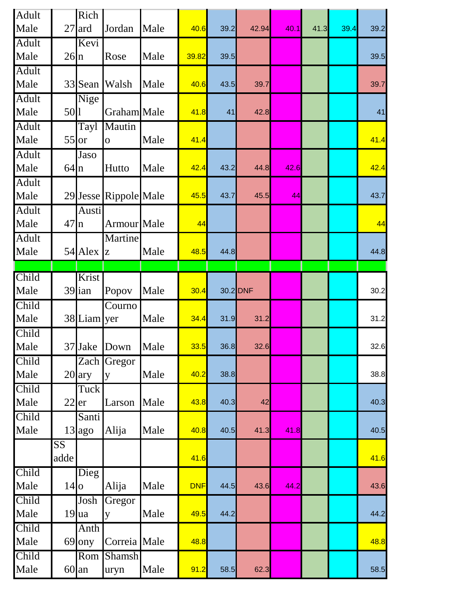| Adult        |                        | Rich                      |                       |      |            |      |          |      |      |      |      |
|--------------|------------------------|---------------------------|-----------------------|------|------------|------|----------|------|------|------|------|
| Male         |                        | $27$ ard                  | Jordan                | Male | 40.6       | 39.2 | 42.94    | 40.1 | 41.3 | 39.4 | 39.2 |
| <b>Adult</b> |                        | Kevi                      |                       |      |            |      |          |      |      |      |      |
| Male         | 26n                    |                           | Rose                  | Male | 39.82      | 39.5 |          |      |      |      | 39.5 |
| <b>Adult</b> |                        |                           |                       |      |            |      |          |      |      |      |      |
| Male         |                        | 33 Sean                   | Walsh                 | Male | 40.6       | 43.5 | 39.7     |      |      |      | 39.7 |
| Adult        |                        | Nige                      |                       |      |            |      |          |      |      |      |      |
| Male         | 501                    |                           | Graham Male           |      | 41.8       | 41   | 42.8     |      |      |      | 41   |
| Adult        |                        | Tayl                      | Mautin                |      |            |      |          |      |      |      |      |
| Male         | $55$ or                |                           | $\overline{O}$        | Male | 41.4       |      |          |      |      |      | 41.4 |
| <b>Adult</b> |                        | Jaso                      |                       |      |            |      |          |      |      |      |      |
| Male         | $64 \ln$               |                           | Hutto                 | Male | 42.4       | 43.2 | 44.8     | 42.6 |      |      | 42.4 |
| <b>Adult</b> |                        |                           |                       |      |            |      |          |      |      |      |      |
| Male         |                        |                           | 29 Jesse Rippole Male |      | 45.5       | 43.7 | 45.5     | 44   |      |      | 43.7 |
| Adult        |                        | Austi                     |                       |      |            |      |          |      |      |      |      |
| Male         | 47n                    |                           | Armour Male           |      | 44         |      |          |      |      |      | 44   |
| <b>Adult</b> |                        |                           | Martine               |      |            |      |          |      |      |      |      |
| Male         |                        | $54$ Alex $\vert z \vert$ |                       | Male | 48.5       | 44.8 |          |      |      |      | 44.8 |
|              |                        |                           |                       |      |            |      |          |      |      |      |      |
| Child        |                        | Krist                     |                       |      |            |      |          |      |      |      |      |
| Male         |                        | $39$ ian                  | Popov                 | Male | 30.4       |      | 30.2 DNF |      |      |      | 30.2 |
| Child        |                        |                           | Courno                |      |            |      |          |      |      |      |      |
| Male         |                        | 38 Liam yer               |                       | Male | 34.4       | 31.9 | 31.2     |      |      |      | 31.2 |
| Child        |                        |                           |                       |      |            |      |          |      |      |      |      |
| Male         |                        | 37 Jake                   | Down                  | Male | 33.5       | 36.8 | 32.6     |      |      |      | 32.6 |
| Child        |                        |                           | Zach Gregor           |      |            |      |          |      |      |      |      |
| Male         |                        | $20$ ary                  | y                     | Male | 40.2       | 38.8 |          |      |      |      | 38.8 |
| Child        |                        | Tuck                      |                       |      |            |      |          |      |      |      |      |
| Male         | $22$ er                |                           | Larson                | Male | 43.8       | 40.3 | 42       |      |      |      | 40.3 |
| Child        |                        | Santi                     |                       |      |            |      |          |      |      |      |      |
| Male         |                        | 13 ago                    | Alija                 | Male | 40.8       | 40.5 | 41.3     | 41.8 |      |      | 40.5 |
|              | $\overline{\text{SS}}$ |                           |                       |      |            |      |          |      |      |      |      |
|              | adde                   |                           |                       |      | 41.6       |      |          |      |      |      | 41.6 |
| Child        |                        | Dieg                      |                       |      |            |      |          |      |      |      |      |
| Male         | $14$ o                 |                           | Alija                 | Male | <b>DNF</b> | 44.5 | 43.6     | 44.2 |      |      | 43.6 |
| Child        |                        | Josh                      | Gregor                |      |            |      |          |      |      |      |      |
| Male         |                        | $19$ ua                   | y                     | Male | 49.5       | 44.2 |          |      |      |      | 44.2 |
| Child        |                        | Anth                      |                       |      |            |      |          |      |      |      |      |
| Male         |                        | 69 ony                    | Correia Male          |      | 48.8       |      |          |      |      |      | 48.8 |
| Child        |                        | Rom                       | <b>Shamsh</b>         |      |            |      |          |      |      |      |      |
| Male         |                        | $60$ an                   | uryn                  | Male | 91.2       | 58.5 | 62.3     |      |      |      | 58.5 |